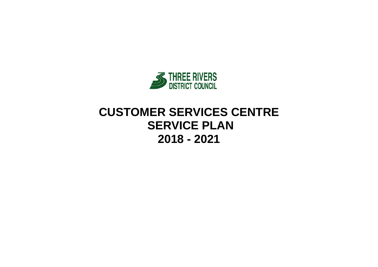

# **CUSTOMER SERVICES CENTRE SERVICE PLAN 2018 - 2021**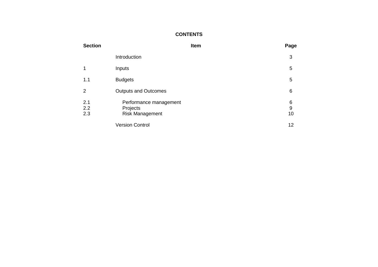#### **CONTENTS**

| <b>Section</b>    |                                                              | Item | Page                        |
|-------------------|--------------------------------------------------------------|------|-----------------------------|
|                   | Introduction                                                 |      | 3                           |
| 1                 | Inputs                                                       |      | $\mathbf 5$                 |
| 1.1               | <b>Budgets</b>                                               |      | 5                           |
| 2                 | <b>Outputs and Outcomes</b>                                  |      | 6                           |
| 2.1<br>2.2<br>2.3 | Performance management<br>Projects<br><b>Risk Management</b> |      | 6<br>$\boldsymbol{9}$<br>10 |
|                   | <b>Version Control</b>                                       |      | 12                          |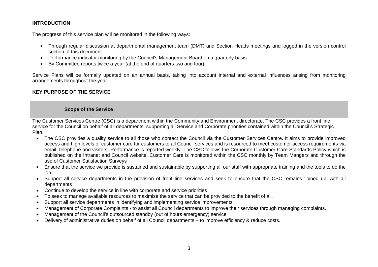#### **INTRODUCTION**

The progress of this service plan will be monitored in the following ways:

- Through regular discussion at departmental management team (DMT) and Section Heads meetings and logged in the version control section of this document
- Performance indicator monitoring by the Council's Management Board on a quarterly basis
- By Committee reports twice a year (at the end of quarters two and four)

Service Plans will be formally updated on an annual basis, taking into account internal and external influences arising from monitoring arrangements throughout the year.

#### **KEY PURPOSE OF THE SERVICE**

#### **Scope of the Service**

The Customer Services Centre (CSC) is a department within the Community and Environment directorate. The CSC provides a front line service for the Council on behalf of all departments, supporting all Service and Corporate priorities contained within the Council's Strategic Plan.

- The CSC provides a quality service to all those who contact the Council via the Customer Services Centre. It aims to provide improved access and high levels of customer care for customers to all Council services and is resourced to meet customer access requirements via email, telephone and visitors. Performance is reported weekly. The CSC follows the Corporate Customer Care Standards Policy which is published on the Intranet and Council website. Customer Care is monitored within the CSC monthly by Team Mangers and through the use of Customer Satisfaction Surveys
- Ensure that the service we provide is sustained and sustainable by supporting all our staff with appropriate training and the tools to do the job
- Support all service departments in the provision of front line services and seek to ensure that the CSC remains 'joined up' with all departments
- Continue to develop the service in line with corporate and service priorities
- To seek to manage available resources to maximise the service that can be provided to the benefit of all.
- Support all service departments in identifying and implementing service improvements.
- Management of Corporate Complaints to assist all Council departments to improve their services through managing complaints.
- Management of the Council's outsourced standby (out of hours emergency) service
- Delivery of administrative duties on behalf of all Council departments to improve efficiency & reduce costs.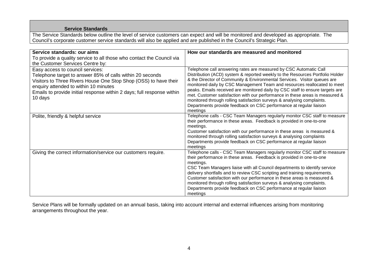#### **Service Standards**

The Service Standards below outline the level of service customers can expect and will be monitored and developed as appropriate. The Council's corporate customer service standards will also be applied and are published in the Council's Strategic Plan.

| Service standards: our aims<br>To provide a quality service to all those who contact the Council via<br>the Customer Services Centre by:                                                                                                                                                        | How our standards are measured and monitored                                                                                                                                                                                                                                                                                                                                                                                                                                                                                                                                                                                            |
|-------------------------------------------------------------------------------------------------------------------------------------------------------------------------------------------------------------------------------------------------------------------------------------------------|-----------------------------------------------------------------------------------------------------------------------------------------------------------------------------------------------------------------------------------------------------------------------------------------------------------------------------------------------------------------------------------------------------------------------------------------------------------------------------------------------------------------------------------------------------------------------------------------------------------------------------------------|
| Easy access to council services:<br>Telephone target to answer 85% of calls within 20 seconds<br>Visitors to Three Rivers House One Stop Shop (OSS) to have their<br>enquiry attended to within 10 minutes<br>Emails to provide initial response within 2 days; full response within<br>10 days | Telephone call answering rates are measured by CSC Automatic Call<br>Distribution (ACD) system & reported weekly to the Resources Portfolio Holder<br>& the Director of Community & Environmental Services. Visitor queues are<br>monitored daily by CSC Management Team and resources reallocated to meet<br>peaks. Emails received are monitored daily by CSC staff to ensure targets are<br>met. Customer satisfaction with our performance in these areas is measured &<br>monitored through rolling satisfaction surveys & analysing complaints.<br>Departments provide feedback on CSC performance at regular liaison<br>meetings |
| Polite, friendly & helpful service                                                                                                                                                                                                                                                              | Telephone calls - CSC Team Managers regularly monitor CSC staff to measure<br>their performance in these areas. Feedback is provided in one-to-one<br>meetings.<br>Customer satisfaction with our performance in these areas is measured &<br>monitored through rolling satisfaction surveys & analysing complaints<br>Departments provide feedback on CSC performance at regular liaison<br>meetings                                                                                                                                                                                                                                   |
| Giving the correct information/service our customers require.                                                                                                                                                                                                                                   | Telephone calls - CSC Team Managers regularly monitor CSC staff to measure<br>their performance in these areas. Feedback is provided in one-to-one<br>meetings.<br>CSC Team Managers liaise with all Council departments to identify service<br>delivery shortfalls and to review CSC scripting and training requirements.<br>Customer satisfaction with our performance in these areas is measured &<br>monitored through rolling satisfaction surveys & analysing complaints.<br>Departments provide feedback on CSC performance at regular liaison<br>meetings                                                                       |

Service Plans will be formally updated on an annual basis, taking into account internal and external influences arising from monitoring arrangements throughout the year.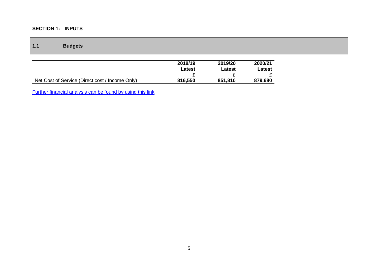#### **SECTION 1: INPUTS**

| 1.1 | <b>Budgets</b>                                  |                   |                   |                   |
|-----|-------------------------------------------------|-------------------|-------------------|-------------------|
|     |                                                 | 2018/19<br>Latest | 2019/20<br>Latest | 2020/21<br>Latest |
|     |                                                 |                   |                   |                   |
|     | Net Cost of Service (Direct cost / Income Only) | 816,550           | 851,810           | 879,680           |

[Further financial analysis can be found by using this link](http://www.threerivers.gov.uk/egcl-page/budgets-2018-21)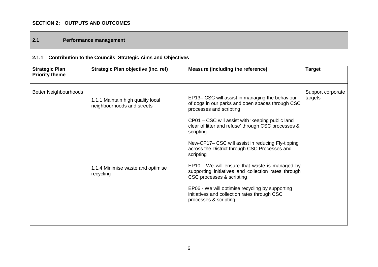#### **SECTION 2: OUTPUTS AND OUTCOMES**

#### **2.1 Performance management**

## **2.1.1 Contribution to the Councils' Strategic Aims and Objectives**

| <b>Strategic Plan</b><br><b>Priority theme</b> | Strategic Plan objective (inc. ref)                                                                               | <b>Measure (including the reference)</b>                                                                                                                                                                                                                                                                                                                                                                                                                                                                                                                            | <b>Target</b>                |
|------------------------------------------------|-------------------------------------------------------------------------------------------------------------------|---------------------------------------------------------------------------------------------------------------------------------------------------------------------------------------------------------------------------------------------------------------------------------------------------------------------------------------------------------------------------------------------------------------------------------------------------------------------------------------------------------------------------------------------------------------------|------------------------------|
| <b>Better Neighbourhoods</b>                   | 1.1.1 Maintain high quality local<br>neighbourhoods and streets<br>1.1.4 Minimise waste and optimise<br>recycling | EP13– CSC will assist in managing the behaviour<br>of dogs in our parks and open spaces through CSC<br>processes and scripting.<br>CP01 – CSC will assist with 'keeping public land<br>clear of litter and refuse' through CSC processes &<br>scripting<br>New-CP17– CSC will assist in reducing Fly-tipping<br>across the District through CSC Processes and<br>scripting<br>EP10 - We will ensure that waste is managed by<br>supporting initiatives and collection rates through<br>CSC processes & scripting<br>EP06 - We will optimise recycling by supporting | Support corporate<br>targets |
|                                                |                                                                                                                   | initiatives and collection rates through CSC<br>processes & scripting                                                                                                                                                                                                                                                                                                                                                                                                                                                                                               |                              |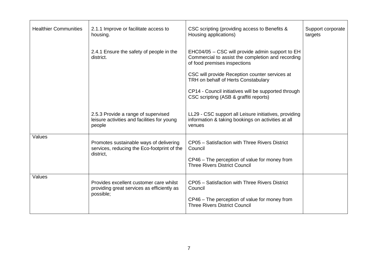| <b>Healthier Communities</b> | 2.1.1 Improve or facilitate access to<br>housing.                                                   | CSC scripting (providing access to Benefits &<br>Housing applications)                                                                             | Support corporate<br>targets |
|------------------------------|-----------------------------------------------------------------------------------------------------|----------------------------------------------------------------------------------------------------------------------------------------------------|------------------------------|
|                              | 2.4.1 Ensure the safety of people in the<br>district.                                               | EHC04/05 - CSC will provide admin support to EH<br>Commercial to assist the completion and recording<br>of food premises inspections               |                              |
|                              |                                                                                                     | CSC will provide Reception counter services at<br>TRH on behalf of Herts Constabulary                                                              |                              |
|                              |                                                                                                     | CP14 - Council initiatives will be supported through<br>CSC scripting (ASB & graffiti reports)                                                     |                              |
|                              | 2.5.3 Provide a range of supervised<br>leisure activities and facilities for young<br>people        | LL29 - CSC support all Leisure initiatives, providing<br>information & taking bookings on activities at all<br>venues                              |                              |
| Values                       | Promotes sustainable ways of delivering<br>services, reducing the Eco-footprint of the<br>district, | CP05 - Satisfaction with Three Rivers District<br>Council<br>CP46 – The perception of value for money from<br><b>Three Rivers District Council</b> |                              |
| Values                       | Provides excellent customer care whilst<br>providing great services as efficiently as<br>possible;  | CP05 - Satisfaction with Three Rivers District<br>Council<br>CP46 - The perception of value for money from<br><b>Three Rivers District Council</b> |                              |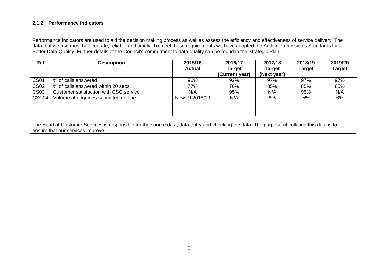#### **2.1.2 Performance indicators**

Performance indicators are used to aid the decision making process as well as assess the efficiency and effectiveness of service delivery. The data that we use must be accurate, reliable and timely. To meet these requirements we have adopted the Audit Commission's Standards for Better Data Quality. Further details of the Council's commitment to data quality can be found in the Strategic Plan.

| Ref         | <b>Description</b>                     | 2015/16<br><b>Actual</b> | 2016/17<br><b>Target</b> | 2017/18<br>Target | 2018/19<br><b>Target</b> | 2019/20<br><b>Target</b> |
|-------------|----------------------------------------|--------------------------|--------------------------|-------------------|--------------------------|--------------------------|
|             |                                        |                          | (Current year)           | (Next year)       |                          |                          |
| <b>CS01</b> | % of calls answered                    | 96%                      | 92%                      | 97%               | 97%                      | 97%                      |
| <b>CS02</b> | % of calls answered within 20 secs     | 77%                      | 70%                      | 85%               | 85%                      | 85%                      |
| <b>CS03</b> | Customer satisfaction with CSC service | N/A                      | 95%                      | N/A               | 95%                      | N/A                      |
| CSC04       | Volume of enquiries submitted on-line  | New PI 2018/19           | N/A                      | 6%                | 5%                       | 6%                       |
|             |                                        |                          |                          |                   |                          |                          |
|             |                                        |                          |                          |                   |                          |                          |
|             |                                        |                          |                          |                   |                          |                          |

The Head of Customer Services is responsible for the source data, data entry and checking the data. The purpose of collating this data is to ensure that our services improve.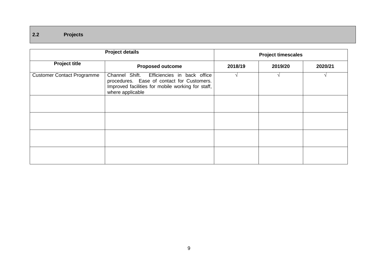## **2.2 Projects**

|                                                                                                                                                                                                        | <b>Project details</b>  | <b>Project timescales</b> |         |         |  |
|--------------------------------------------------------------------------------------------------------------------------------------------------------------------------------------------------------|-------------------------|---------------------------|---------|---------|--|
| <b>Project title</b>                                                                                                                                                                                   | <b>Proposed outcome</b> | 2018/19                   | 2019/20 | 2020/21 |  |
| Channel Shift. Efficiencies in back office<br><b>Customer Contact Programme</b><br>procedures. Ease of contact for Customers.<br>Improved facilities for mobile working for staff,<br>where applicable |                         |                           |         |         |  |
|                                                                                                                                                                                                        |                         |                           |         |         |  |
|                                                                                                                                                                                                        |                         |                           |         |         |  |
|                                                                                                                                                                                                        |                         |                           |         |         |  |
|                                                                                                                                                                                                        |                         |                           |         |         |  |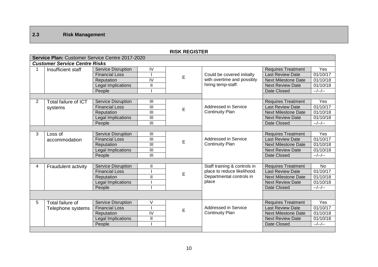## **2.3 Risk Management**

|                | KISK KEGISTEK                                   |                           |                          |   |                                                |                            |                       |  |
|----------------|-------------------------------------------------|---------------------------|--------------------------|---|------------------------------------------------|----------------------------|-----------------------|--|
|                | Service Plan: Customer Service Centre 2017-2020 |                           |                          |   |                                                |                            |                       |  |
|                | <b>Customer Service Centre Risks</b>            |                           |                          |   |                                                |                            |                       |  |
|                | Insufficient staff                              | <b>Service Disruption</b> | IV                       |   |                                                | <b>Requires Treatment</b>  | Yes                   |  |
|                |                                                 | <b>Financial Loss</b>     |                          | E | Could be covered initially                     | <b>Last Review Date</b>    | 01/10/17              |  |
|                |                                                 | Reputation                | IV                       |   | with overtime and possibly                     | <b>Next Milestone Date</b> | 01/10/18              |  |
|                |                                                 | Legal Implications        | $\mathbf{I}$             |   | hiring temp-staff.                             | <b>Next Review Date</b>    | 01/10/18              |  |
|                |                                                 | People                    |                          |   |                                                | Date Closed                | $-$ /--/--            |  |
|                |                                                 |                           |                          |   |                                                |                            |                       |  |
| $\overline{2}$ | Total failure of ICT                            | <b>Service Disruption</b> | III                      |   |                                                | <b>Requires Treatment</b>  | Yes                   |  |
|                | systems                                         | <b>Financial Loss</b>     | $\mathbf{III}$           | E | Addressed in Service                           | <b>Last Review Date</b>    | 01/10/17              |  |
|                |                                                 | Reputation                | $\mathbf{III}$           |   | <b>Continuity Plan</b>                         | <b>Next Milestone Date</b> | 01/10/18              |  |
|                |                                                 | Legal Implications        | $\overline{\mathbf{  }}$ |   |                                                | <b>Next Review Date</b>    | 01/10/18              |  |
|                |                                                 | People                    | III                      |   |                                                | Date Closed                | $-$ /--/--            |  |
|                |                                                 |                           |                          |   |                                                |                            |                       |  |
| 3              | Loss of                                         | <b>Service Disruption</b> | $\mathbf{III}$           |   |                                                | <b>Requires Treatment</b>  | Yes                   |  |
|                | accommodation                                   | <b>Financial Loss</b>     | III                      | E | Addressed in Service<br><b>Continuity Plan</b> | <b>Last Review Date</b>    | 01/10/17              |  |
|                |                                                 | Reputation                | $\overline{\mathbf{  }}$ |   |                                                | <b>Next Milestone Date</b> | 01/10/18              |  |
|                |                                                 | Legal Implications        | III                      |   |                                                | <b>Next Review Date</b>    | 01/10/18              |  |
|                |                                                 | People                    | III                      |   |                                                | Date Closed                | $-$ /--/--            |  |
|                |                                                 |                           |                          |   |                                                |                            |                       |  |
| 4              | <b>Fraudulent activity</b>                      | <b>Service Disruption</b> | $\mathbf{I}$             |   | Staff training & controls in                   | <b>Requires Treatment</b>  | No                    |  |
|                |                                                 | <b>Financial Loss</b>     |                          | E | place to reduce likelihood.                    | <b>Last Review Date</b>    | $\overline{01/10}/17$ |  |
|                |                                                 | Reputation                | $\mathbf{I}$             |   | Departmental controls in                       | <b>Next Milestone Date</b> | 01/10/18              |  |
|                |                                                 | <b>Legal Implications</b> |                          |   | place                                          | <b>Next Review Date</b>    | 01/10/18              |  |
|                |                                                 | People                    |                          |   |                                                | Date Closed                | $-$ /--/--            |  |
|                |                                                 |                           |                          |   |                                                |                            |                       |  |
| 5              | Total failure of                                | <b>Service Disruption</b> | V                        |   |                                                | <b>Requires Treatment</b>  | Yes                   |  |
|                | Telephone systems                               | <b>Financial Loss</b>     |                          | E | Addressed in Service                           | <b>Last Review Date</b>    | 01/10/17              |  |
|                |                                                 | Reputation                | IV                       |   | <b>Continuity Plan</b>                         | <b>Next Milestone Date</b> | 01/10/18              |  |
|                |                                                 | Legal Implications        | $\mathbf{I}$             |   |                                                | <b>Next Review Date</b>    | 01/10/18              |  |
|                |                                                 | People                    |                          |   |                                                | Date Closed                | $-$ /--/--            |  |
|                |                                                 |                           |                          |   |                                                |                            |                       |  |

#### **RISK REGISTER**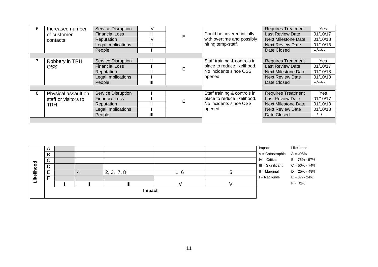| 6 | Increased number     | Service Disruption        | <b>IV</b> |   |                                                                 | <b>Requires Treatment</b>  | Yes.       |
|---|----------------------|---------------------------|-----------|---|-----------------------------------------------------------------|----------------------------|------------|
|   | of customer          | <b>Financial Loss</b>     | H         | E | Could be covered initially                                      | <b>Last Review Date</b>    | 01/10/17   |
|   | contacts             | Reputation                | IV        |   | with overtime and possibly                                      | <b>Next Milestone Date</b> | 01/10/18   |
|   |                      | Legal Implications        |           |   | hiring temp-staff.                                              | <b>Next Review Date</b>    | 01/10/18   |
|   |                      | People                    |           |   |                                                                 | Date Closed                | $-$ /--/-- |
|   |                      |                           |           |   |                                                                 |                            |            |
|   | Robbery in TRH       | <b>Service Disruption</b> |           |   | Staff training & controls in                                    | <b>Requires Treatment</b>  | Yes        |
|   | OSS                  | <b>Financial Loss</b>     |           | E | place to reduce likelihood.<br>No incidents since OSS<br>opened | <b>Last Review Date</b>    | 01/10/17   |
|   |                      | Reputation                |           |   |                                                                 | <b>Next Milestone Date</b> | 01/10/18   |
|   |                      | Legal Implications        |           |   |                                                                 | <b>Next Review Date</b>    | 01/10/18   |
|   |                      | People                    | Ш         |   |                                                                 | Date Closed                | --/--/--   |
|   |                      |                           |           |   |                                                                 |                            |            |
| 8 | Physical assault on  | <b>Service Disruption</b> |           |   | Staff training & controls in                                    | <b>Requires Treatment</b>  | Yes        |
|   | staff or visitors to | <b>Financial Loss</b>     |           | Е | place to reduce likelihood.                                     | <b>Last Review Date</b>    | 01/10/17   |
|   | <b>TRH</b>           | Reputation                |           |   | No incidents since OSS                                          | <b>Next Milestone Date</b> | 01/10/18   |
|   |                      | Legal Implications        |           |   | opened                                                          | <b>Next Review Date</b>    | 01/10/18   |
|   |                      | People                    | Ш         |   |                                                                 | Date Closed                | --/--/--   |
|   |                      |                           |           |   |                                                                 |                            |            |

|              | A      |  |  |                |                         |  | Impact            | Likelihood        |
|--------------|--------|--|--|----------------|-------------------------|--|-------------------|-------------------|
|              | B      |  |  |                |                         |  | V = Catastrophic  | $A = \ge 98\%$    |
|              | ⌒<br>ັ |  |  |                |                         |  | $IV = Critical$   | $B = 75\% - 97\%$ |
| g<br>$\circ$ | D      |  |  |                |                         |  | III = Significant | $C = 50\% - 74\%$ |
|              | E      |  |  | 2, 3, 7, 8     |                         |  | $II = Marginal$   | $D = 25\% - 49\%$ |
| Likelih      | ⊏      |  |  |                |                         |  | $I = Negligible$  | $E = 3\% - 24\%$  |
|              |        |  |  | $\mathbf{III}$ | $\mathsf{I} \mathsf{V}$ |  |                   | $F = \leq 2\%$    |
|              | Impact |  |  |                |                         |  |                   |                   |